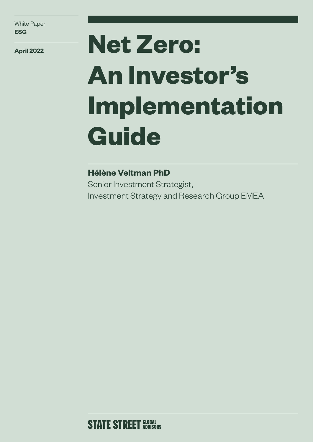**April 2022**

# **Net Zero: An Investor's Implementation Guide**

## **Hélène Veltman PhD**

Senior Investment Strategist, Investment Strategy and Research Group EMEA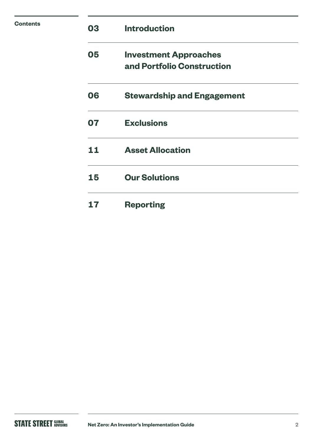| <b>Contents</b> | 03 | <b>Introduction</b>                                        |
|-----------------|----|------------------------------------------------------------|
|                 | 05 | <b>Investment Approaches</b><br>and Portfolio Construction |
|                 | 06 | <b>Stewardship and Engagement</b>                          |
|                 | 07 | <b>Exclusions</b>                                          |
|                 | 11 | <b>Asset Allocation</b>                                    |
|                 | 15 | <b>Our Solutions</b>                                       |
|                 | 17 | <b>Reporting</b>                                           |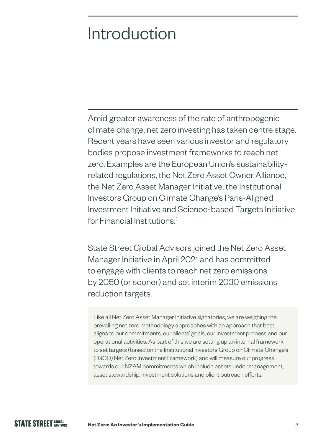## Introduction

Amid greater awareness of the rate of anthropogenic climate change, net zero investing has taken centre stage. Recent years have seen various investor and regulatory bodies propose investment frameworks to reach net zero. Examples are the European Union's sustainabilityrelated regulations, the Net Zero Asset Owner Alliance, the Net Zero Asset Manager Initiative, the Institutional Investors Group on Climate Change's Paris-Aligned Investment Initiative and Science-based Targets Initiative for Financial Institutions  $<sup>1</sup>$ </sup>

State Street Global Advisors joined the Net Zero Asset Manager Initiative in April 2021 and has committed to engage with clients to reach net zero emissions by 2050 (or sooner) and set interim 2030 emissions reduction targets.

Like all Net Zero Asset Manager Initiative signatories, we are weighing the prevailing net zero methodology approaches with an approach that best aligns to our commitments, our clients' goals, our investment process and our operational activities. As part of this we are setting up an internal framework to set targets (based on the Institutional Investors Group on Climate Change's (IIGCC) Net Zero Investment Framework) and will measure our progress towards our NZAM commitments which include assets under management, asset stewardship, investment solutions and client outreach efforts.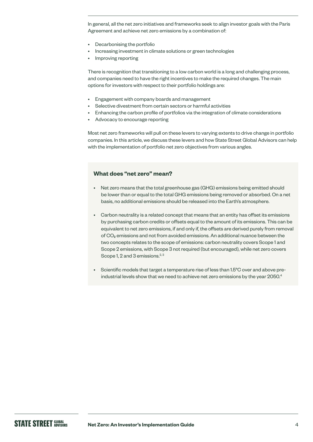In general, all the net zero initiatives and frameworks seek to align investor goals with the Paris Agreement and achieve net zero emissions by a combination of:

- Decarbonising the portfolio
- Increasing investment in climate solutions or green technologies
- Improving reporting

There is recognition that transitioning to a low carbon world is a long and challenging process, and companies need to have the right incentives to make the required changes. The main options for investors with respect to their portfolio holdings are:

- Engagement with company boards and management
- Selective divestment from certain sectors or harmful activities
- Enhancing the carbon profile of portfolios via the integration of climate considerations
- Advocacy to encourage reporting

Most net zero frameworks will pull on these levers to varying extents to drive change in portfolio companies. In this article, we discuss these levers and how State Street Global Advisors can help with the implementation of portfolio net zero objectives from various angles.

## **What does "net zero" mean?**

- Net zero means that the total greenhouse gas (GHG) emissions being emitted should be lower than or equal to the total GHG emissions being removed or absorbed. On a net basis, no additional emissions should be released into the Earth's atmosphere.
- Carbon neutrality is a related concept that means that an entity has offset its emissions by purchasing carbon credits or offsets equal to the amount of its emissions. This can be equivalent to net zero emissions, if and only if, the offsets are derived purely from removal of CO2 emissions and not from avoided emissions. An additional nuance between the two concepts relates to the scope of emissions: carbon neutrality covers Scope 1 and Scope 2 emissions, with Scope 3 not required (but encouraged), while net zero covers Scope 1, 2 and 3 emissions.<sup>2, 3</sup>
- Scientific models that target a temperature rise of less than 1.5°C over and above preindustrial levels show that we need to achieve net zero emissions by the year 2050.<sup>4</sup>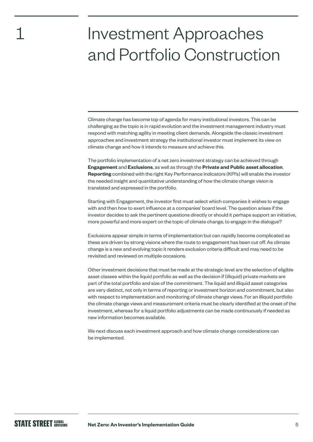## Investment Approaches and Portfolio Construction

Climate change has become top of agenda for many institutional investors. This can be challenging as the topic is in rapid evolution and the investment management industry must respond with matching agility in meeting client demands. Alongside the classic investment approaches and investment strategy the institutional investor must implement its view on climate change and how it intends to measure and achieve this.

The portfolio implementation of a net zero investment strategy can be achieved through **Engagement** and **Exclusions**, as well as through the **Private and Public asset allocation**. **Reporting** combined with the right Key Performance Indicators (KPI's) will enable the investor the needed insight and quantitative understanding of how the climate change vision is translated and expressed in the portfolio.

Starting with Engagement, the investor first must select which companies it wishes to engage with and then how to exert influence at a companies' board level. The question arises if the investor decides to ask the pertinent questions directly or should it perhaps support an initiative, more powerful and more expert on the topic of climate change, to engage in the dialogue?

Exclusions appear simple in terms of implementation but can rapidly become complicated as these are driven by strong visions where the route to engagement has been cut off. As climate change is a new and evolving topic it renders exclusion criteria difficult and may need to be revisited and reviewed on multiple occasions.

Other investment decisions that must be made at the strategic level are the selection of eligible asset classes within the liquid portfolio as well as the decision if (illiquid) private markets are part of the total portfolio and size of the commitment. The liquid and illiquid asset categories are very distinct, not only in terms of reporting or investment horizon and commitment, but also with respect to implementation and monitoring of climate change views. For an illiquid portfolio the climate change views and measurement criteria must be clearly identified at the onset of the investment, whereas for a liquid portfolio adjustments can be made continuously if needed as new information becomes available.

We next discuss each investment approach and how climate change considerations can be implemented.

1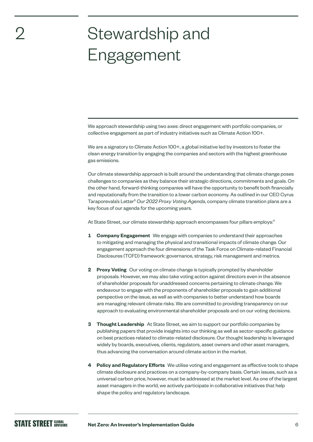## Stewardship and Engagement

We approach stewardship using two axes: direct engagement with portfolio companies, or collective engagement as part of industry initiatives such as Climate Action 100+.

We are a signatory to Climate Action 100+, a global initiative led by investors to foster the clean energy transition by engaging the companies and sectors with the highest greenhouse gas emissions.

Our climate stewardship approach is built around the understanding that climate change poses challenges to companies as they balance their strategic directions, commitments and goals. On the other hand, forward-thinking companies will have the opportunity to benefit both financially and reputationally from the transition to a lower carbon economy. As outlined in our CEO Cyrus Taraporevala's Letter<sup>5</sup> Our 2022 Proxy Voting Agenda, company climate transition plans are a key focus of our agenda for the upcoming years.

At State Street, our climate stewardship approach encompasses four pillars employs:<sup>4</sup>

- **1 Company Engagement** We engage with companies to understand their approaches to mitigating and managing the physical and transitional impacts of climate change. Our engagement approach the four dimensions of the Task Force on Climate-related Financial Disclosures (TCFD) framework: governance, strategy, risk management and metrics.
- **2 Proxy Voting** Our voting on climate change is typically prompted by shareholder proposals. However, we may also take voting action against directors even in the absence of shareholder proposals for unaddressed concerns pertaining to climate change. We endeavour to engage with the proponents of shareholder proposals to gain additional perspective on the issue, as well as with companies to better understand how boards are managing relevant climate risks. We are committed to providing transparency on our approach to evaluating environmental shareholder proposals and on our voting decisions.
- **3 Thought Leadership** At State Street, we aim to support our portfolio companies by publishing papers that provide insights into our thinking as well as sector-specific guidance on best practices related to climate-related disclosure. Our thought leadership is leveraged widely by boards, executives, clients, regulators, asset owners and other asset managers, thus advancing the conversation around climate action in the market.
- **4 Policy and Regulatory Efforts** We utilise voting and engagement as effective tools to shape climate disclosure and practices on a company-by-company basis. Certain issues, such as a universal carbon price, however, must be addressed at the market level. As one of the largest asset managers in the world, we actively participate in collaborative initiatives that help shape the policy and regulatory landscape.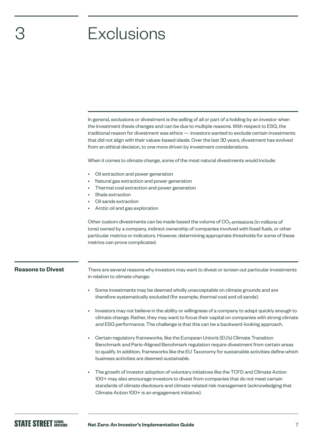## **Exclusions**

In general, exclusions or divestment is the selling of all or part of a holding by an investor when the investment thesis changes and can be due to multiple reasons. With respect to ESG, the traditional reason for divestment was ethics — investors wanted to exclude certain investments that did not align with their values-based ideals. Over the last 30 years, divestment has evolved from an ethical decision, to one more driven by investment considerations.

When it comes to climate change, some of the most natural divestments would include:

- Oil extraction and power generation
- Natural gas extraction and power generation
- Thermal coal extraction and power generation
- Shale extraction
- Oil sands extraction
- Arctic oil and gas exploration

Other custom divestments can be made based the volume of  $CO<sub>2</sub>$  emissions (in millions of tons) owned by a company, indirect ownership of companies involved with fossil fuels, or other particular metrics or indicators. However, determining appropriate thresholds for some of these metrics can prove complicated.



3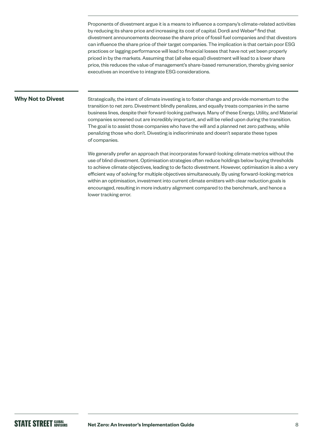Proponents of divestment argue it is a means to influence a company's climate-related activities by reducing its share price and increasing its cost of capital. Dordi and Weber<sup>6</sup> find that divestment announcements decrease the share price of fossil fuel companies and that divestors can influence the share price of their target companies. The implication is that certain poor ESG practices or lagging performance will lead to financial losses that have not yet been properly priced in by the markets. Assuming that (all else equal) divestment will lead to a lower share price, this reduces the value of management's share-based remuneration, thereby giving senior executives an incentive to integrate ESG considerations.

## **Why Not to Divest**

Strategically, the intent of climate investing is to foster change and provide momentum to the transition to net zero. Divestment blindly penalizes, and equally treats companies in the same business lines, despite their forward-looking pathways. Many of these Energy, Utility, and Material companies screened out are incredibly important, and will be relied upon during the transition. The goal is to assist those companies who have the will and a planned net zero pathway, while penalizing those who don't. Divesting is indiscriminate and doesn't separate these types of companies.

We generally prefer an approach that incorporates forward-looking climate metrics without the use of blind divestment. Optimisation strategies often reduce holdings below buying thresholds to achieve climate objectives, leading to de facto divestment. However, optimisation is also a very efficient way of solving for multiple objectives simultaneously. By using forward-looking metrics within an optimisation, investment into current climate emitters with clear reduction goals is encouraged, resulting in more industry alignment compared to the benchmark, and hence a lower tracking error.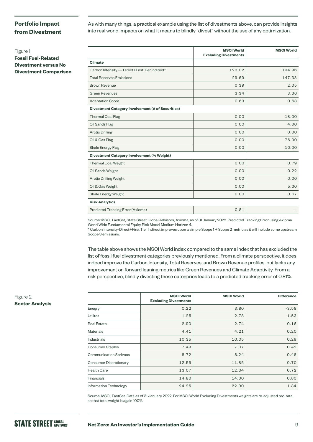## **Portfolio Impact from Divestment**

As with many things, a practical example using the list of divestments above, can provide insights into real world impacts on what it means to blindly "divest" without the use of any optimization.

**Fossil Fuel-Related Divestment versus No Divestment Comparison**

|                                                          | <b>MSCI World</b><br><b>Excluding Divestments</b> | <b>MSCI World</b> |
|----------------------------------------------------------|---------------------------------------------------|-------------------|
| Climate                                                  |                                                   |                   |
| Carbon Intensity - Direct+First Tier Indirect*           | 123.02                                            | 194.96            |
| <b>Total Reserves Emissions</b>                          | 29.69                                             | 147.33            |
| <b>Brown Revenue</b>                                     | 0.39                                              | 2.05              |
| <b>Green Revenues</b>                                    | 3.34                                              | 3.36              |
| <b>Adaptation Score</b>                                  | 0.63                                              | 0.63              |
| <b>Divestment Category Involvement (# of Securities)</b> |                                                   |                   |
| <b>Thermal Coal Flag</b>                                 | 0.00                                              | 18.00             |
| Oil Sands Flag                                           | 0.00                                              | 4.00              |
| <b>Arctic Drilling</b>                                   | 0.00                                              | 0.00              |
| Oil & Gas Flag                                           | 0.00                                              | 76.00             |
| Shale Energy Flag                                        | 0.00                                              | 10.00             |
| <b>Divestment Category Involvement (% Weight)</b>        |                                                   |                   |
| <b>Thermal Coal Weight</b>                               | 0.00                                              | 0.79              |
| Oil Sands Weight                                         | 0.00                                              | 0.22              |
| <b>Arctic Drilling Weight</b>                            | 0.00                                              | 0.00              |
| Oil & Gas Weight                                         | 0.00                                              | 5.30              |
| Shale Energy Weight                                      | 0.00                                              | 0.67              |
| <b>Risk Analytics</b>                                    |                                                   |                   |
| Predicted Tracking Error (Axioma)                        | 0.81                                              |                   |

Source: MSCI, FactSet, State Street Global Advisors, Axioma, as of 31 January 2022. Predicted Tracking Error using Axioma World Wide Fundamental Equity Risk Model Medium Horizon 4.

\* Carbon Intensity-Direct+First Tier Indirect improves upon a simple Scope 1 + Scope 2 metric as it will include some upstream Scope 3 emissions.

The table above shows the MSCI World index compared to the same index that has excluded the list of fossil fuel divestment categories previously mentioned. From a climate perspective, it does indeed improve the Carbon Intensity, Total Reserves, and Brown Revenue profiles, but lacks any improvement on forward leaning metrics like Green Revenues and Climate Adaptivity. From a risk perspective, blindly divesting these categories leads to a predicted tracking error of 0.81%.

|                               | <b>MSCI World</b><br><b>Excluding Divestments</b> | <b>MSCI World</b> | <b>Difference</b> |
|-------------------------------|---------------------------------------------------|-------------------|-------------------|
| Enegry                        | 0.22                                              | 3.80              | $-3.58$           |
| <b>Utilites</b>               | 1.25                                              | 2.78              | $-1.53$           |
| <b>Real Estate</b>            | 2.90                                              | 2.74              | 0.16              |
| <b>Materials</b>              | 4.41                                              | 4.21              | 0.20              |
| <b>Industrials</b>            | 10.35                                             | 10.05             | 0.29              |
| <b>Consumer Staples</b>       | 7.49                                              | 7.07              | 0.42              |
| <b>Communication Serivces</b> | 8.72                                              | 8.24              | 0.48              |
| Consumer Discretionary        | 12.55                                             | 11.85             | 0.70              |
| <b>Health Care</b>            | 13.07                                             | 12.34             | 0.72              |
| <b>Financials</b>             | 14.80                                             | 14.00             | 0.80              |
| <b>Information Technology</b> | 24.25                                             | 22.90             | 1.34              |

Source: MSCI, FactSet. Data as of 31 January 2022. For MSCI World Excluding Divestments weights are re-adjusted pro-rata, so that total weight is again 100%.

## Figure 2 **Sector Analysis**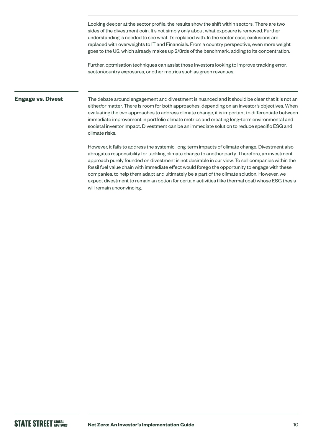Looking deeper at the sector profile, the results show the shift within sectors. There are two sides of the divestment coin. It's not simply only about what exposure is removed. Further understanding is needed to see what it's replaced with. In the sector case, exclusions are replaced with overweights to IT and Financials. From a country perspective, even more weight goes to the US, which already makes up 2/3rds of the benchmark, adding to its concentration.

Further, optmisation techniques can assist those investors looking to improve tracking error, sector/country exposures, or other metrics such as green revenues.

### **Engage vs. Divest**

The debate around engagement and divestment is nuanced and it should be clear that it is not an either/or matter. There is room for both approaches, depending on an investor's objectives. When evaluating the two approaches to address climate change, it is important to differentiate between immediate improvement in portfolio climate metrics and creating long-term environmental and societal investor impact. Divestment can be an immediate solution to reduce specific ESG and climate risks.

However, it fails to address the systemic, long-term impacts of climate change. Divestment also abrogates responsibility for tackling climate change to another party. Therefore, an investment approach purely founded on divestment is not desirable in our view. To sell companies within the fossil fuel value chain with immediate effect would forego the opportunity to engage with these companies, to help them adapt and ultimately be a part of the climate solution. However, we expect divestment to remain an option for certain activities (like thermal coal) whose ESG thesis will remain unconvincing.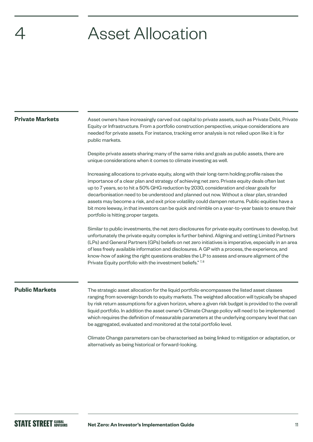## **Asset Allocation**

### **Private Markets**

Asset owners have increasingly carved out capital to private assets, such as Private Debt, Private Equity or Infrastructure. From a portfolio construction perspective, unique considerations are needed for private assets. For instance, tracking error analysis is not relied upon like it is for public markets.

Despite private assets sharing many of the same risks and goals as public assets, there are unique considerations when it comes to climate investing as well.

Increasing allocations to private equity, along with their long-term holding profile raises the importance of a clear plan and strategy of achieving net zero. Private equity deals often last up to 7 years, so to hit a 50% GHG reduction by 2030, consideration and clear goals for decarbonisation need to be understood and planned out now. Without a clear plan, stranded assets may become a risk, and exit price volatility could dampen returns. Public equities have a bit more leeway, in that investors can be quick and nimble on a year-to-year basis to ensure their portfolio is hitting proper targets.

Similar to public investments, the net zero disclosures for private equity continues to develop, but unfortunately the private equity complex is further behind. Aligning and vetting Limited Partners (LPs) and General Partners (GPs) beliefs on net zero initiatives is imperative, especially in an area of less freely available information and disclosures. A GP with a process, the experience, and know-how of asking the right questions enables the LP to assess and ensure alignment of the Private Equity portfolio with the investment beliefs."<sup>7,8</sup>

### **Public Markets**

The strategic asset allocation for the liquid portfolio encompasses the listed asset classes ranging from sovereign bonds to equity markets. The weighted allocation will typically be shaped by risk return assumptions for a given horizon, where a given risk budget is provided to the overall liquid portfolio. In addition the asset owner's Climate Change policy will need to be implemented which requires the definition of measurable parameters at the underlying company level that can be aggregated, evaluated and monitored at the total portfolio level.

Climate Change parameters can be characterised as being linked to mitigation or adaptation, or alternatively as being historical or forward-looking.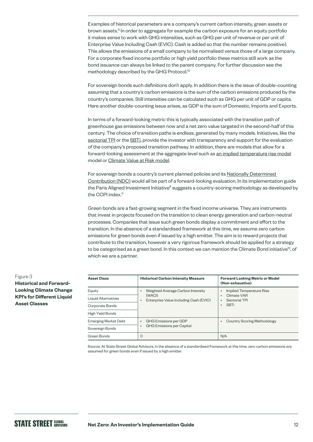Examples of historical parameters are a company's current carbon intensity, green assets or brown assets.<sup>9</sup> In order to aggregate for example the carbon exposure for an equity portfolio it makes sense to work with GHG intensities, such as GHG per unit of revenue or per unit of Enterprise Value Including Cash (EVIC). Cash is added so that the number remains positive). This allows the emissions of a small company to be normalised versus those of a large company. For a corporate fixed income portfolio or high yield portfolio these metrics still work as the bond issuance can always be linked to the parent company. For further discussion see the methodology described by the GHG Protocol.<sup>10</sup>

For sovereign bonds such definitions don't apply. In addition there is the issue of double-counting assuming that a country's carbon emissions is the sum of the carbon emissions produced by the country's companies. Still intensities can be calculated such as GHG per unit of GDP or capita. Here another double-counting issue arises, as GDP is the sum of Domestic, Imports and Exports.

In terms of a forward-looking metric this is typically associated with the transition path of greenhouse gas emissions between now and a net zero value targeted in the second-half of this century. The choice of transition paths is endless, generated by many models. Initiatives, like the [sectorial TPI](https://www.transitionpathwayinitiative.org/) or the [SBTi](https://sciencebasedtargets.org/), provide the investor with transparency and support for the evaluation of the company's proposed transition pathway. In addition, there are models that allow for a forward-looking assessment at the aggregate level such as [an implied temperature rise model](https://www.tcfdhub.org/wp-content/uploads/2020/10/PAT-Report-20201109-Final.pdf) model or [Climate Value at Risk model.](https://www.msci.com/documents/1296102/16985724/MSCI-ClimateVaR-Introduction-Feb2020.pdf)

For sovereign bonds a country's current planned policies and its [Nationally Determined](https://www.un.org/en/climatechange/all-about-ndcs)  [Contribution \(NDC\)](https://www.un.org/en/climatechange/all-about-ndcs) would all be part of a forward-looking evaluation. In its implementation guide the Paris Aligned Investment Initiative<sup>8</sup> suggests a country-scoring methodology as developed by the CCPI index.<sup>11</sup>

Green bonds are a fast-growing segment in the fixed income universe. They are instruments that invest in projects focused on the transition to clean energy generation and carbon-neutral processes. Companies that issue such green bonds display a commitment and effort to the transition. In the absence of a standardised framework at this time, we assume zero carbon emissions for green bonds even if issued by a high emitter. The aim is to reward projects that contribute to the transition, however a very rigorous framework should be applied for a strategy to be categorised as a green bond. In this context we can mention the Climate Bond initiative<sup>12</sup>, of which we are a partner.

| <b>Asset Class</b>          | <b>Historical Carbon Intensity Measure</b>                                                 | <b>Forward Looking Metric or Model</b><br>(Non-exhaustive)            |
|-----------------------------|--------------------------------------------------------------------------------------------|-----------------------------------------------------------------------|
| Equity                      | Weighted Average Carbon Intensity<br>$\bullet$                                             | Implied Temperature Rise                                              |
| Liquid Alternatives         | (WACI)<br>Enterprise Value Including Cash (EVIC)<br>$\bullet$                              | Climate VAR<br>Sectorial TPI<br>$\bullet$<br><b>SBTi</b><br>$\bullet$ |
| Corporate Bonds             |                                                                                            |                                                                       |
| <b>High Yield Bonds</b>     |                                                                                            |                                                                       |
| <b>Emerging Market Debt</b> | <b>GHG Emissions per GDP</b><br>$\bullet$<br><b>GHG Emissions per Capital</b><br>$\bullet$ | <b>Country Scoring Methodology</b><br>$\bullet$                       |
| Sovereign Bonds             |                                                                                            |                                                                       |
| Green Bonds                 | O                                                                                          | N/A                                                                   |

Source: At State Street Global Advisors, in the absence of a standardised framework at this time, zero carbon emissions are assumed for green bonds even if issued by a high emitter.

Figure 3 **Historical and Forward-Looking Climate Change KPI's for Different Liquid Asset Classes**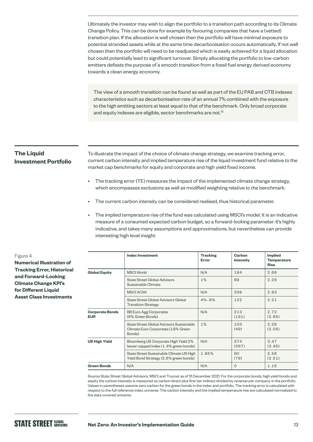Ultimately the investor may wish to align the portfolio to a transition path according to its Climate Change Policy. This can be done for example by favouring companies that have a (vetted) transition plan. If the allocation is well chosen then the portfolio will have minimal exposure to potential stranded assets while at the same time decarbonisation occurs automatically. If not well chosen then the portfolio will need to be readjusted which is easily achieved for a liquid allocation but could potentially lead to significant turnover. Simply allocating the portfolio to low-carbon emitters defeats the purpose of a smooth transition from a fossil fuel energy derived economy towards a clean energy economy.

The view of a smooth transition can be found as well as part of the EU PAB and CTB indexes characteristics such as decarbonisation rate of an annual 7% combined with the exposure to the high emitting sectors at least equal to that of the benchmark. Only broad corporate and equity indexes are eligible, sector benchmarks are not.<sup>13</sup>

## **The Liquid Investment Portfolio**

To illustrate the impact of the choice of climate change strategy, we examine tracking error, current carbon intensity and implied temperature rise of the liquid investment fund relative to the market cap benchmarks for equity and corporate and high yield fixed income.

- The tracking error (TE) measures the impact of the implemented climate change strategy, which encompasses exclusions as well as modified weighting relative to the benchmark.
- The current carbon intensity can be considered realised, thus historical parameter.
- The implied temperature rise of the fund was calculated using MSCI's model. It is an indicative measure of a consumed expected carbon budget, so a forward-looking parameter. It's highly indicative, and takes many assumptions and approximations, but nevertheless can provide interesting high level insight.

|                                      | <b>Index Investment</b>                                                                  | <b>Tracking</b><br>Error | Carbon<br>Intensity | <b>Implied</b><br><b>Temperature</b><br><b>Rise</b> |
|--------------------------------------|------------------------------------------------------------------------------------------|--------------------------|---------------------|-----------------------------------------------------|
| <b>Global Equity</b>                 | <b>MSCI</b> World                                                                        | N/A                      | 184                 | 2.69                                                |
|                                      | State Street Global Advisors<br>Sustainable Climate                                      | $1\%$                    | 69                  | 2.26                                                |
|                                      | <b>MSCI ACWI</b>                                                                         | N/A                      | 208                 | 2.83                                                |
|                                      | State Street Global Advisors Global<br><b>Transition Strategy</b>                        | $4\% - 8\%$              | 122                 | 2.21                                                |
| <b>Corporate Bonds</b><br><b>EUR</b> | <b>BB Euro Agg Corporates</b><br>(6% Green Bonds)                                        | N/A                      | 213<br>(191)        | 2.72<br>(2.65)                                      |
|                                      | State Street Global Advisors Sustainable<br>Climate Euro Corporates (18% Green<br>Bonds) | $1\%$                    | 103<br>(49)         | 2.26<br>(2.05)                                      |
| <b>US High Yield</b>                 | Bloomberg US Corporate High Yield 2%<br>Issuer capped index (1.4% green bonds)           | N/A                      | 374<br>(367)        | 3.47<br>(3.45)                                      |
|                                      | State Street Sustainable Climate US High<br>Yield Bond Strategy (2.6% green bonds)       | 1.85%                    | 90<br>(79)          | 2.56<br>(2.51)                                      |
| <b>Green Bonds</b>                   | N/A                                                                                      | N/A                      | $\Omega$            | 1.15                                                |

Source State Street Global Advisors, MSCI and Trucost as of 31 December 2021. For the corporate bonds, high yield bonds and equity the carbon intensity is measured as carbon direct plus first tier indirect divided by revenue per company in the portfolio. Values in parentheses assume zero carbon for the green bonds in the index and portfolio. The tracking error is calculated with respect to the full reference index universe. The carbon intensity and the implied temperature rise are calculated normalized to the data covered universe.

Figure 4 **Numerical Illustration of Tracking Error, Historical and Forward-Looking Climate Change KPI's for Different Liquid Asset Class Investments**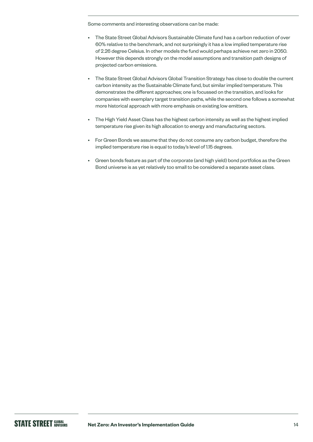Some comments and interesting observations can be made:

- The State Street Global Advisors Sustainable Climate fund has a carbon reduction of over 60% relative to the benchmark, and not surprisingly it has a low implied temperature rise of 2.26 degree Celsius. In other models the fund would perhaps achieve net zero in 2050. However this depends strongly on the model assumptions and transition path designs of projected carbon emissions.
- The State Street Global Advisors Global Transition Strategy has close to double the current carbon intensity as the Sustainable Climate fund, but similar implied temperature. This demonstrates the different approaches; one is focussed on the transition, and looks for companies with exemplary target transition paths, while the second one follows a somewhat more historical approach with more emphasis on existing low emitters.
- The High Yield Asset Class has the highest carbon intensity as well as the highest implied temperature rise given its high allocation to energy and manufacturing sectors.
- For Green Bonds we assume that they do not consume any carbon budget, therefore the implied temperature rise is equal to today's level of 1.15 degrees.
- Green bonds feature as part of the corporate (and high yield) bond portfolios as the Green Bond universe is as yet relatively too small to be considered a separate asset class.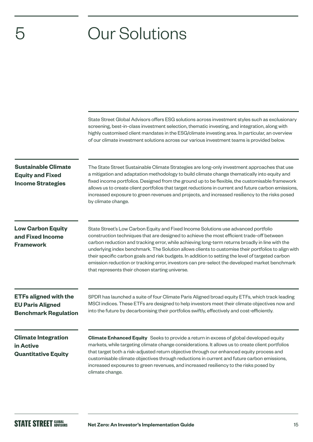## 5 Our Solutions

|                                                                                        | State Street Global Advisors offers ESG solutions across investment styles such as exclusionary<br>screening, best-in-class investment selection, thematic investing, and integration, along with<br>highly customised client mandates in the ESG/climate investing area. In particular, an overview<br>of our climate investment solutions across our various investment teams is provided below.                                                                                                                                                                                                                                                 |
|----------------------------------------------------------------------------------------|----------------------------------------------------------------------------------------------------------------------------------------------------------------------------------------------------------------------------------------------------------------------------------------------------------------------------------------------------------------------------------------------------------------------------------------------------------------------------------------------------------------------------------------------------------------------------------------------------------------------------------------------------|
| <b>Sustainable Climate</b><br><b>Equity and Fixed</b><br><b>Income Strategies</b>      | The State Street Sustainable Climate Strategies are long-only investment approaches that use<br>a mitigation and adaptation methodology to build climate change thematically into equity and<br>fixed income portfolios. Designed from the ground up to be flexible, the customisable framework<br>allows us to create client portfolios that target reductions in current and future carbon emissions,<br>increased exposure to green revenues and projects, and increased resiliency to the risks posed<br>by climate change.                                                                                                                    |
| <b>Low Carbon Equity</b><br>and Fixed Income<br><b>Framework</b>                       | State Street's Low Carbon Equity and Fixed Income Solutions use advanced portfolio<br>construction techniques that are designed to achieve the most efficient trade-off between<br>carbon reduction and tracking error, while achieving long-term returns broadly in line with the<br>underlying index benchmark. The Solution allows clients to customise their portfolios to align with<br>their specific carbon goals and risk budgets. In addition to setting the level of targeted carbon<br>emission reduction or tracking error, investors can pre-select the developed market benchmark<br>that represents their chosen starting universe. |
| <b>ETFs aligned with the</b><br><b>EU Paris Aligned</b><br><b>Benchmark Regulation</b> | SPDR has launched a suite of four Climate Paris Aligned broad equity ETFs, which track leading<br>MSCI indices. These ETFs are designed to help investors meet their climate objectives now and<br>into the future by decarbonising their portfolios swiftly, effectively and cost-efficiently.                                                                                                                                                                                                                                                                                                                                                    |
| <b>Climate Integration</b><br>in Active<br><b>Quantitative Equity</b>                  | Climate Enhanced Equity Seeks to provide a return in excess of global developed equity<br>markets, while targeting climate change considerations. It allows us to create client portfolios<br>that target both a risk-adjusted return objective through our enhanced equity process and<br>customisable climate objectives through reductions in current and future carbon emissions,<br>increased exposures to green revenues, and increased resiliency to the risks posed by<br>climate change.                                                                                                                                                  |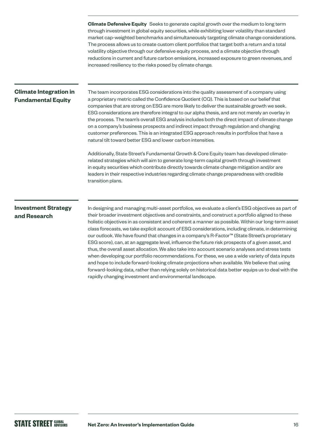**Climate Defensive Equity** Seeks to generate capital growth over the medium to long term through investment in global equity securities, while exhibiting lower volatility than standard market cap-weighted benchmarks and simultaneously targeting climate change considerations. The process allows us to create custom client portfolios that target both a return and a total volatility objective through our defensive equity process, and a climate objective through reductions in current and future carbon emissions, increased exposure to green revenues, and increased resiliency to the risks posed by climate change.

## **Climate Integration in Fundamental Equity**

The team incorporates ESG considerations into the quality assessment of a company using a proprietary metric called the Confidence Quotient (CQ). This is based on our belief that companies that are strong on ESG are more likely to deliver the sustainable growth we seek. ESG considerations are therefore integral to our alpha thesis, and are not merely an overlay in the process. The team's overall ESG analysis includes both the direct impact of climate change on a company's business prospects and indirect impact through regulation and changing customer preferences. This is an integrated ESG approach results in portfolios that have a natural tilt toward better ESG and lower carbon intensities.

Additionally, State Street's Fundamental Growth & Core Equity team has developed climaterelated strategies which will aim to generate long-term capital growth through investment in equity securities which contribute directly towards climate change mitigation and/or are leaders in their respective industries regarding climate change preparedness with credible transition plans.

## **Investment Strategy and Research**

In designing and managing multi-asset portfolios, we evaluate a client's ESG objectives as part of their broader investment objectives and constraints, and construct a portfolio aligned to these holistic objectives in as consistent and coherent a manner as possible. Within our long-term asset class forecasts, we take explicit account of ESG considerations, including climate, in determining our outlook. We have found that changes in a company's R-Factor™ (State Street's proprietary ESG score), can, at an aggregate level, influence the future risk prospects of a given asset, and thus, the overall asset allocation. We also take into account scenario analyses and stress tests when developing our portfolio recommendations. For these, we use a wide variety of data inputs and hope to include forward-looking climate projections when available. We believe that using forward-looking data, rather than relying solely on historical data better equips us to deal with the rapidly changing investment and environmental landscape.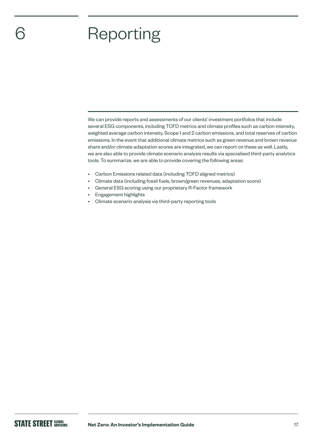## **Reporting**

We can provide reports and assessments of our clients' investment portfolios that include several ESG components, including TCFD metrics and climate profiles such as carbon intensity, weighted average carbon intensity, Scope 1 and 2 carbon emissions, and total reserves of carbon emissions. In the event that additional climate metrics such as green revenue and brown revenue share and/or climate adaptation scores are integrated, we can report on these as well. Lastly, we are also able to provide climate scenario analysis results via specialised third-party analytics tools. To summarize, we are able to provide covering the following areas:

- Carbon Emissions related data (including TCFD aligned metrics)
- Climate data (including fossil fuels, brown/green revenues, adaptation score)
- General ESG scoring using our proprietary R-Factor framework
- Engagement highlights
- Climate scenario analysis via third-party reporting tools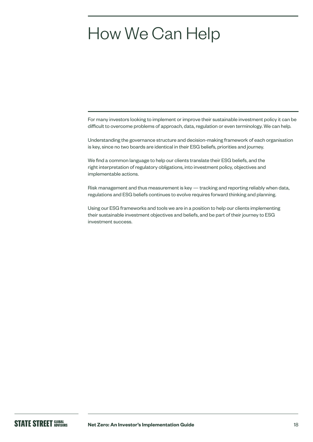## How We Can Help

For many investors looking to implement or improve their sustainable investment policy it can be difficult to overcome problems of approach, data, regulation or even terminology. We can help.

Understanding the governance structure and decision-making framework of each organisation is key, since no two boards are identical in their ESG beliefs, priorities and journey.

We find a common language to help our clients translate their ESG beliefs, and the right interpretation of regulatory obligations, into investment policy, objectives and implementable actions.

Risk management and thus measurement is key — tracking and reporting reliably when data, regulations and ESG beliefs continues to evolve requires forward thinking and planning.

Using our ESG frameworks and tools we are in a position to help our clients implementing their sustainable investment objectives and beliefs, and be part of their journey to ESG investment success.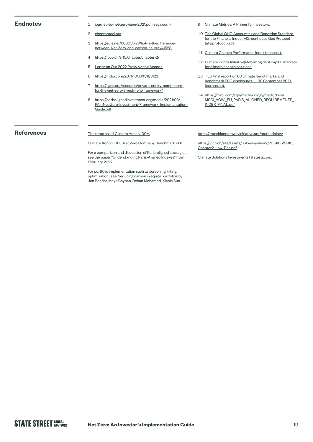### **Endnotes**

- 1 journey-to-net-zero-june-2021.pdf [\(ssga.com\)](https://www.ssga.com/library-content/pdfs/global/journey-to-net-zero-june-2021.pdf).
- 2 ghgprotocol.org
- 3 https://edie.net/68601/pr/What-is-thedifferencebetween-Net-Zero-and-carbon-neutral/41523.
- 4 <https://ipcc.ch/sr15/chapter/chapter-2/>
- 5 [Letter on Our 2022 Proxy Voting Agenda.](https://www.ssga.com/uk/en_gb/institutional/ic/insights/ceo-letter-2022-proxy-voting-agenda)
- 6 https://mdpi.com/2071-1050/11/11/3122
- 7 https://iigcc.org/resource/private-equity-componentfor-the-net-zero-investment-framework/
- 8 [https://parisalignedinvestment.org/media/2021/03/](https://www.parisalignedinvestment.org/media/2021/03/PAII-Net-Zero-Investment-Framework_Implementation-Guide.pdf) [PAII-Net-Zero-Investment-Framework\\_Implementation-](https://www.parisalignedinvestment.org/media/2021/03/PAII-Net-Zero-Investment-Framework_Implementation-Guide.pdf)[Guide.pdf](https://www.parisalignedinvestment.org/media/2021/03/PAII-Net-Zero-Investment-Framework_Implementation-Guide.pdf)
- 9 [Climate Metrics: A Primer for Investors.](https://www.ssga.com/library-content/pdfs/insights/climate-metrics-a-primer-for-investors.pdf)
- 10 The Global GHG Accounting and Reporting Standard for the Financial Industry|Greenhouse Gas Protocol [\(ghgprotocol.org](https://ghgprotocol.org/global-ghg-accounting-and-reporting-standard-financial-industry)).
- 11 Climate Change Performance Index ([ccpi.org](https://ccpi.org/)).
- 12 [Climate Bonds Initiative|Mobilizing debt capital markets](https://www.climatebonds.net/)  [for climate change solutions.](https://www.climatebonds.net/)
- 13 TEG final report on EU climate benchmarks and benchmark ESG disclosures — 30 September 2019 [\(europa.eu\)](https://ec.europa.eu/info/sites/default/files/business_economy_euro/banking_and_finance/documents/190930-sustainable-finance-teg-final-report-climate-benchmarks-and-disclosures_en.pdf).
- 14 [https://msci.com/eqb/methodology/meth\\_docs/](https://www.msci.com/eqb/methodology/meth_docs/MSCI_ACWI_EU_PARIS_ALIGNED_REQUIREMENTS_INDEX_FINAL.pdf) [MSCI\\_ACWI\\_EU\\_PARIS\\_ALIGNED\\_REQUIREMENTS\\_](https://www.msci.com/eqb/methodology/meth_docs/MSCI_ACWI_EU_PARIS_ALIGNED_REQUIREMENTS_INDEX_FINAL.pdf) [INDEX\\_FINAL.pdf](https://www.msci.com/eqb/methodology/meth_docs/MSCI_ACWI_EU_PARIS_ALIGNED_REQUIREMENTS_INDEX_FINAL.pdf)

## **References**

### [The three asks | Climate Action 100+.](https://www.climateaction100.org/approach/the-three-asks/)

[Climate Action 100+ Net Zero Company Benchmark PDF.](https://www.climateaction100.org/wp-content/uploads/2021/03/Climate-Action-100-Benchmark-Indicators-FINAL-3.12.pdf)

For a comparison and discussion of Paris-aligned strategies see the paper "Understanding Paris-Aligned Indexes" from February 2022.

For portfolio implementation such as screening, tilting, optimisation : see "reducing carbon in equity portfolios by Jen Bender, Maya Beyhan, Rehan Mohamed, Xiaole Sun.

https://transitionpathwayinitiative.org/methodology

https://ipcc.ch/site/assets/uploads/sites/2/2019/05/SR15\_ Chapter2\_Low\_Res.pdf

Climate Solutions Investments [\(statestr.com](https://globalmarkets.statestr.com/research/portal/insights/article/849ea355-9cc6-46d9-9806-0c17179b3433)).